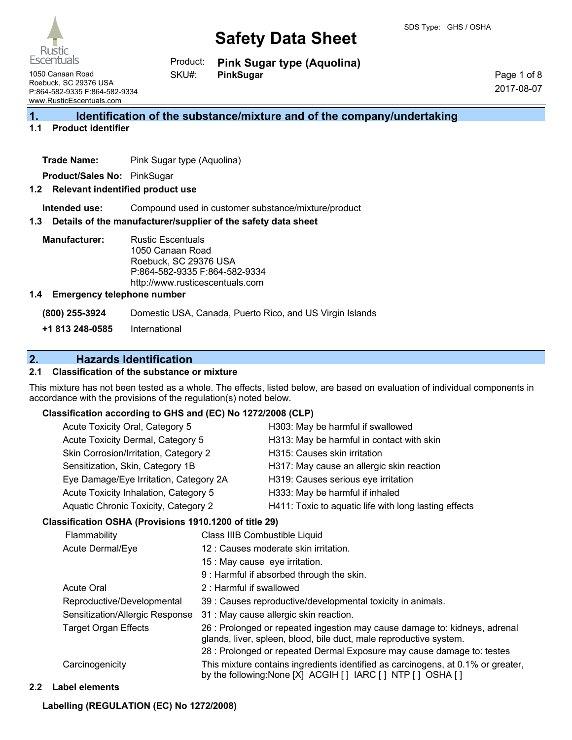

**Escentuals** 1050 Canaan Road Roebuck, SC 29376 USA P:864-582-9335 F:864-582-9334

Rustic

www.RusticEscentuals.com

**Pink Sugar type (Aquolina) PinkSugar** Product: SKU#:

Page 1 of 8 2017-08-07

# **1. Identification of the substance/mixture and of the company/undertaking**

### **1.1 Product identifier**

**Trade Name:** Pink Sugar type (Aquolina)

**Product/Sales No:** PinkSugar

#### **1.2 Relevant indentified product use**

**Intended use:** Compound used in customer substance/mixture/product

#### **1.3 Details of the manufacturer/supplier of the safety data sheet**

**Manufacturer:** Rustic Escentuals 1050 Canaan Road Roebuck, SC 29376 USA P:864-582-9335 F:864-582-9334 http://www.rusticescentuals.com

#### **1.4 Emergency telephone number**

**(800) 255-3924** Domestic USA, Canada, Puerto Rico, and US Virgin Islands

**+1 813 248-0585** International

# **2. Hazards Identification**

### **2.1 Classification of the substance or mixture**

This mixture has not been tested as a whole. The effects, listed below, are based on evaluation of individual components in accordance with the provisions of the regulation(s) noted below.

#### **Classification according to GHS and (EC) No 1272/2008 (CLP)**

| Acute Toxicity Oral, Category 5        | H303: May be harmful if swallowed                     |
|----------------------------------------|-------------------------------------------------------|
| Acute Toxicity Dermal, Category 5      | H313: May be harmful in contact with skin             |
| Skin Corrosion/Irritation, Category 2  | H315: Causes skin irritation                          |
| Sensitization, Skin, Category 1B       | H317: May cause an allergic skin reaction             |
| Eye Damage/Eye Irritation, Category 2A | H319: Causes serious eye irritation                   |
| Acute Toxicity Inhalation, Category 5  | H333: May be harmful if inhaled                       |
| Aquatic Chronic Toxicity, Category 2   | H411: Toxic to aquatic life with long lasting effects |
|                                        |                                                       |

### **Classification OSHA (Provisions 1910.1200 of title 29)**

| Flammability                    | Class IIIB Combustible Liquid                                                                                                                    |
|---------------------------------|--------------------------------------------------------------------------------------------------------------------------------------------------|
| Acute Dermal/Eye                | 12 : Causes moderate skin irritation.                                                                                                            |
|                                 | 15 : May cause eye irritation.                                                                                                                   |
|                                 | 9 : Harmful if absorbed through the skin.                                                                                                        |
| <b>Acute Oral</b>               | 2: Harmful if swallowed                                                                                                                          |
| Reproductive/Developmental      | 39 : Causes reproductive/developmental toxicity in animals.                                                                                      |
| Sensitization/Allergic Response | 31 : May cause allergic skin reaction.                                                                                                           |
| <b>Target Organ Effects</b>     | 26 : Prolonged or repeated ingestion may cause damage to: kidneys, adrenal<br>glands, liver, spleen, blood, bile duct, male reproductive system. |
|                                 | 28 : Prolonged or repeated Dermal Exposure may cause damage to: testes                                                                           |
| Carcinogenicity                 | This mixture contains ingredients identified as carcinogens, at 0.1% or greater,<br>by the following: None [X] ACGIH [] IARC [] NTP [] OSHA []   |
|                                 |                                                                                                                                                  |

#### **2.2 Label elements**

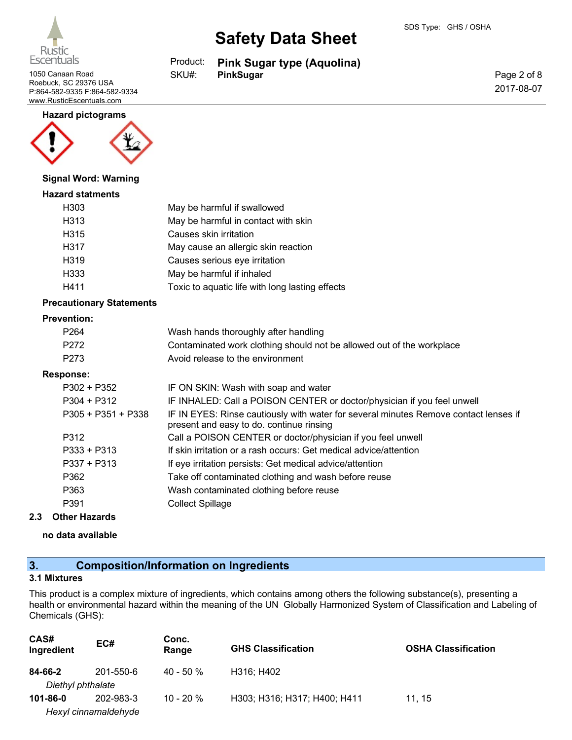

1050 Canaan Road **PinkSugar PinkSugar** Roebuck, SC 29376 USA P:864-582-9335 F:864-582-9334 www.RusticEscentuals.com

#### **Hazard pictograms**



#### **Signal Word: Warning**

#### **Hazard statments**

| H303 | May be harmful if swallowed                     |
|------|-------------------------------------------------|
| H313 | May be harmful in contact with skin             |
| H315 | Causes skin irritation                          |
| H317 | May cause an allergic skin reaction             |
| H319 | Causes serious eye irritation                   |
| H333 | May be harmful if inhaled                       |
| H411 | Toxic to aquatic life with long lasting effects |

#### **Precautionary Statements**

#### **Prevention:**

| Avoid release to the environment                                      |
|-----------------------------------------------------------------------|
| Contaminated work clothing should not be allowed out of the workplace |
| Wash hands thoroughly after handling                                  |
|                                                                       |

| $P302 + P352$        | IF ON SKIN: Wash with soap and water                                                                                             |
|----------------------|----------------------------------------------------------------------------------------------------------------------------------|
| $P304 + P312$        | IF INHALED: Call a POISON CENTER or doctor/physician if you feel unwell                                                          |
| $P305 + P351 + P338$ | IF IN EYES: Rinse cautiously with water for several minutes Remove contact lenses if<br>present and easy to do. continue rinsing |
| P312                 | Call a POISON CENTER or doctor/physician if you feel unwell                                                                      |
| $P333 + P313$        | If skin irritation or a rash occurs: Get medical advice/attention                                                                |
| $P337 + P313$        | If eye irritation persists: Get medical advice/attention                                                                         |
| P362                 | Take off contaminated clothing and wash before reuse                                                                             |
| P363                 | Wash contaminated clothing before reuse                                                                                          |
| P391                 | <b>Collect Spillage</b>                                                                                                          |

### **2.3 Other Hazards**

**no data available**

# **3. Composition/Information on Ingredients**

# **3.1 Mixtures**

This product is a complex mixture of ingredients, which contains among others the following substance(s), presenting a health or environmental hazard within the meaning of the UN Globally Harmonized System of Classification and Labeling of Chemicals (GHS):

| CAS#<br>Ingredient               | EC#       | Conc.<br>Range | <b>GHS Classification</b>    | <b>OSHA Classification</b> |
|----------------------------------|-----------|----------------|------------------------------|----------------------------|
| 84-66-2<br>Diethyl phthalate     | 201-550-6 | $40 - 50 \%$   | H316; H402                   |                            |
| 101-86-0<br>Hexyl cinnamaldehyde | 202-983-3 | $10 - 20 \%$   | H303; H316; H317; H400; H411 | 11.15                      |

# **Safety Data Sheet**

**Pink Sugar type (Aquolina)** Product: SKU#:

Page 2 of 8 2017-08-07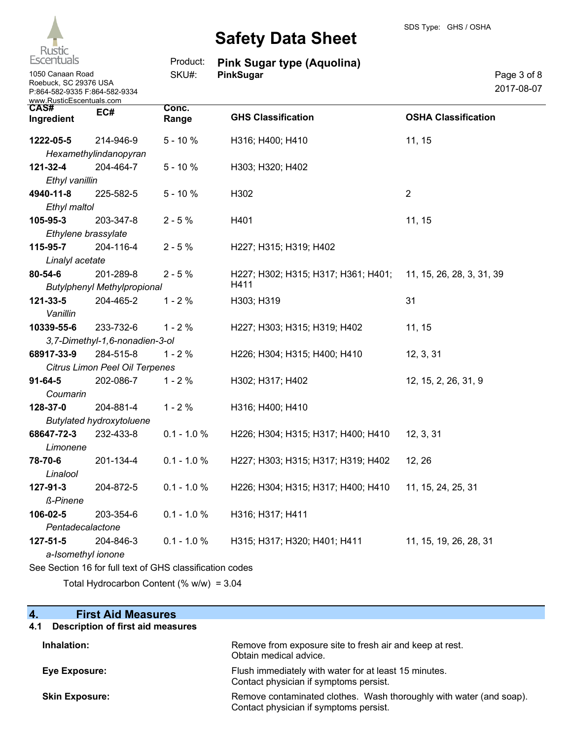

| <b>Escentuals</b>                                                                                      |                                                          | Product:       | <b>Pink Sugar type (Aquolina)</b>   |                            |
|--------------------------------------------------------------------------------------------------------|----------------------------------------------------------|----------------|-------------------------------------|----------------------------|
| 1050 Canaan Road<br>Roebuck, SC 29376 USA<br>P:864-582-9335 F:864-582-9334<br>www.RusticEscentuals.com |                                                          | SKU#:          | PinkSugar                           | Page 3 of 8<br>2017-08-07  |
| CAS#<br>Ingredient                                                                                     | EC#                                                      | Conc.<br>Range | <b>GHS Classification</b>           | <b>OSHA Classification</b> |
| 1222-05-5                                                                                              | 214-946-9                                                | $5 - 10%$      | H316; H400; H410                    | 11, 15                     |
|                                                                                                        | Hexamethylindanopyran                                    |                |                                     |                            |
| 121-32-4                                                                                               | 204-464-7                                                | $5 - 10%$      | H303; H320; H402                    |                            |
| Ethyl vanillin                                                                                         |                                                          |                |                                     |                            |
| 4940-11-8                                                                                              | 225-582-5                                                | $5 - 10%$      | H302                                | $\overline{2}$             |
| Ethyl maltol                                                                                           |                                                          |                |                                     |                            |
| 105-95-3                                                                                               | 203-347-8                                                | $2 - 5%$       | H401                                | 11, 15                     |
|                                                                                                        | Ethylene brassylate                                      |                |                                     |                            |
| 115-95-7                                                                                               | 204-116-4                                                | $2 - 5%$       | H227; H315; H319; H402              |                            |
| Linalyl acetate                                                                                        |                                                          |                |                                     |                            |
| 80-54-6                                                                                                | 201-289-8                                                | $2 - 5%$       | H227; H302; H315; H317; H361; H401; | 11, 15, 26, 28, 3, 31, 39  |
|                                                                                                        | <b>Butylphenyl Methylpropional</b>                       |                | H411                                |                            |
| 121-33-5                                                                                               | 204-465-2                                                | $1 - 2%$       | H303; H319                          | 31                         |
| Vanillin                                                                                               |                                                          |                |                                     |                            |
| 10339-55-6                                                                                             | 233-732-6                                                | $1 - 2%$       | H227; H303; H315; H319; H402        | 11, 15                     |
|                                                                                                        | 3,7-Dimethyl-1,6-nonadien-3-ol                           |                |                                     |                            |
| 68917-33-9                                                                                             | 284-515-8                                                | $1 - 2%$       | H226; H304; H315; H400; H410        | 12, 3, 31                  |
|                                                                                                        | Citrus Limon Peel Oil Terpenes                           |                |                                     |                            |
| $91 - 64 - 5$                                                                                          | 202-086-7                                                | $1 - 2%$       | H302; H317; H402                    | 12, 15, 2, 26, 31, 9       |
| Coumarin                                                                                               |                                                          |                |                                     |                            |
| 128-37-0                                                                                               | 204-881-4                                                | $1 - 2%$       | H316; H400; H410                    |                            |
|                                                                                                        | <b>Butylated hydroxytoluene</b>                          |                |                                     |                            |
| 68647-72-3                                                                                             | 232-433-8                                                | $0.1 - 1.0 %$  | H226; H304; H315; H317; H400; H410  | 12, 3, 31                  |
| Limonene                                                                                               |                                                          |                |                                     |                            |
| 78-70-6                                                                                                | 201-134-4                                                | $0.1 - 1.0 %$  | H227; H303; H315; H317; H319; H402  | 12, 26                     |
| Linalool                                                                                               |                                                          |                |                                     |                            |
| 127-91-3                                                                                               | 204-872-5                                                | $0.1 - 1.0 %$  | H226; H304; H315; H317; H400; H410  | 11, 15, 24, 25, 31         |
| ß-Pinene                                                                                               |                                                          |                |                                     |                            |
| 106-02-5                                                                                               | 203-354-6                                                | $0.1 - 1.0 %$  | H316; H317; H411                    |                            |
| Pentadecalactone                                                                                       |                                                          |                |                                     |                            |
| 127-51-5                                                                                               | 204-846-3                                                | $0.1 - 1.0 %$  | H315; H317; H320; H401; H411        | 11, 15, 19, 26, 28, 31     |
|                                                                                                        | a-Isomethyl ionone                                       |                |                                     |                            |
|                                                                                                        | See Section 16 for full text of GHS classification codes |                |                                     |                            |

Total Hydrocarbon Content (% w/w) = 3.04

| $\boldsymbol{4}$<br><b>First Aid Measures</b>   |                                                                                                               |
|-------------------------------------------------|---------------------------------------------------------------------------------------------------------------|
| <b>Description of first aid measures</b><br>4.1 |                                                                                                               |
| Inhalation:                                     | Remove from exposure site to fresh air and keep at rest.<br>Obtain medical advice.                            |
| Eye Exposure:                                   | Flush immediately with water for at least 15 minutes.<br>Contact physician if symptoms persist.               |
| <b>Skin Exposure:</b>                           | Remove contaminated clothes. Wash thoroughly with water (and soap).<br>Contact physician if symptoms persist. |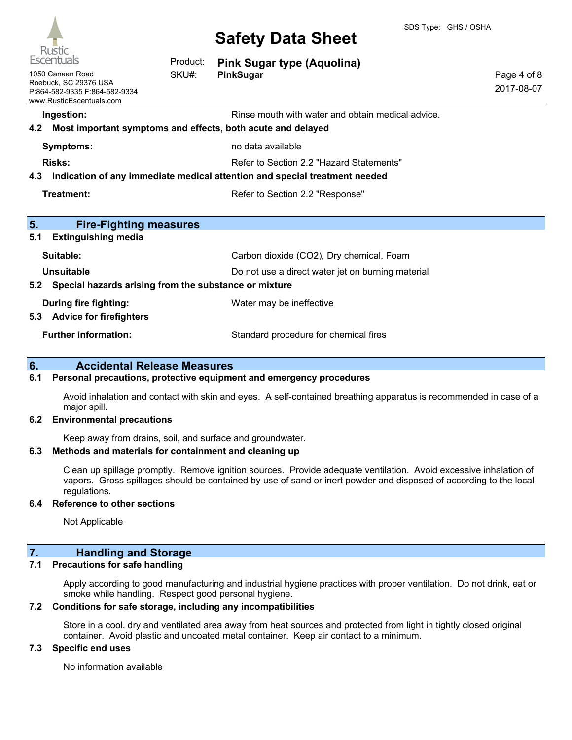

|           | Escentuals                                                                                             | Product: | <b>Pink Sugar type (Aquolina)</b>                                                                                      |                           |
|-----------|--------------------------------------------------------------------------------------------------------|----------|------------------------------------------------------------------------------------------------------------------------|---------------------------|
|           | 1050 Canaan Road<br>Roebuck, SC 29376 USA<br>P:864-582-9335 F:864-582-9334<br>www.RusticEscentuals.com | SKU#:    | PinkSugar                                                                                                              | Page 4 of 8<br>2017-08-07 |
| 4.2       | Ingestion:                                                                                             |          | Rinse mouth with water and obtain medical advice.<br>Most important symptoms and effects, both acute and delayed       |                           |
|           | <b>Symptoms:</b>                                                                                       |          | no data available                                                                                                      |                           |
| 4.3       | <b>Risks:</b>                                                                                          |          | Refer to Section 2.2 "Hazard Statements"<br>Indication of any immediate medical attention and special treatment needed |                           |
|           | Treatment:                                                                                             |          | Refer to Section 2.2 "Response"                                                                                        |                           |
| 5.<br>5.1 | <b>Fire-Fighting measures</b><br><b>Extinguishing media</b>                                            |          |                                                                                                                        |                           |
|           | Suitable:                                                                                              |          | Carbon dioxide (CO2), Dry chemical, Foam                                                                               |                           |
| 5.2       | Unsuitable<br>Special hazards arising from the substance or mixture                                    |          | Do not use a direct water jet on burning material                                                                      |                           |
| 5.3       | <b>During fire fighting:</b><br><b>Advice for firefighters</b>                                         |          | Water may be ineffective                                                                                               |                           |
|           | <b>Further information:</b>                                                                            |          | Standard procedure for chemical fires                                                                                  |                           |

# **6. Accidental Release Measures**

#### **6.1 Personal precautions, protective equipment and emergency procedures**

Avoid inhalation and contact with skin and eyes. A self-contained breathing apparatus is recommended in case of a major spill.

#### **6.2 Environmental precautions**

Keep away from drains, soil, and surface and groundwater.

#### **6.3 Methods and materials for containment and cleaning up**

Clean up spillage promptly. Remove ignition sources. Provide adequate ventilation. Avoid excessive inhalation of vapors. Gross spillages should be contained by use of sand or inert powder and disposed of according to the local regulations.

#### **6.4 Reference to other sections**

Not Applicable

# **7. Handling and Storage**

### **7.1 Precautions for safe handling**

Apply according to good manufacturing and industrial hygiene practices with proper ventilation. Do not drink, eat or smoke while handling. Respect good personal hygiene.

#### **7.2 Conditions for safe storage, including any incompatibilities**

Store in a cool, dry and ventilated area away from heat sources and protected from light in tightly closed original container. Avoid plastic and uncoated metal container. Keep air contact to a minimum.

#### **7.3 Specific end uses**

No information available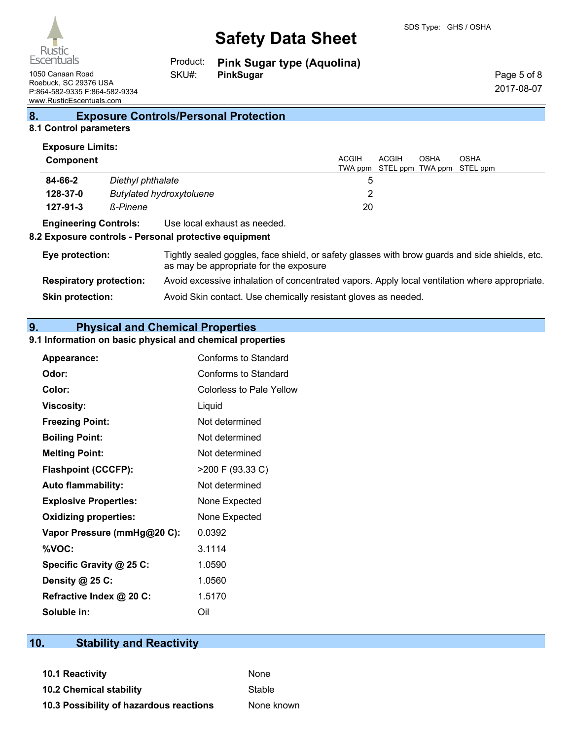

**Pink Sugar type (Aquolina)** Product: SKU#:

1050 Canaan Road **PinkSugar PinkSugar** Roebuck, SC 29376 USA P:864-582-9335 F:864-582-9334 www.RusticEscentuals.com

Page 5 of 8 2017-08-07

# **8. Exposure Controls/Personal Protection**

# **8.1 Control parameters Exposure Limits:**

| Component                    |                   |                                                                                                                                          | <b>ACGIH</b><br>TWA ppm | ACGIH | OSHA | <b>OSHA</b><br>STEL ppm TWA ppm STEL ppm |
|------------------------------|-------------------|------------------------------------------------------------------------------------------------------------------------------------------|-------------------------|-------|------|------------------------------------------|
| 84-66-2                      | Diethyl phthalate |                                                                                                                                          | 5                       |       |      |                                          |
| 128-37-0                     |                   | <b>Butylated hydroxytoluene</b>                                                                                                          | 2                       |       |      |                                          |
| $127 - 91 - 3$               | ß-Pinene          |                                                                                                                                          | 20                      |       |      |                                          |
| <b>Engineering Controls:</b> |                   | Use local exhaust as needed.<br>8.2 Exposure controls - Personal protective equipment                                                    |                         |       |      |                                          |
| Eye protection:              |                   | Tightly sealed goggles, face shield, or safety glasses with brow guards and side shields, etc.<br>as may be appropriate for the exposure |                         |       |      |                                          |

| Avoid excessive inhalation of concentrated vapors. Apply local ventilation where appropriate. |
|-----------------------------------------------------------------------------------------------|
|                                                                                               |

**Skin protection:** Avoid Skin contact. Use chemically resistant gloves as needed.

# **9. Physical and Chemical Properties**

### **9.1 Information on basic physical and chemical properties**

| Appearance:                  | Conforms to Standard     |
|------------------------------|--------------------------|
| Odor:                        | Conforms to Standard     |
| Color:                       | Colorless to Pale Yellow |
| <b>Viscosity:</b>            | Liquid                   |
| <b>Freezing Point:</b>       | Not determined           |
| <b>Boiling Point:</b>        | Not determined           |
| <b>Melting Point:</b>        | Not determined           |
| <b>Flashpoint (CCCFP):</b>   | >200 F (93.33 C)         |
| <b>Auto flammability:</b>    | Not determined           |
| <b>Explosive Properties:</b> | None Expected            |
| <b>Oxidizing properties:</b> | None Expected            |
| Vapor Pressure (mmHg@20 C):  | 0.0392                   |
| %VOC:                        | 3.1114                   |
| Specific Gravity @ 25 C:     | 1.0590                   |
| Density @ 25 C:              | 1.0560                   |
| Refractive Index @ 20 C:     | 1.5170                   |
| Soluble in:                  | Oil                      |

# **10. Stability and Reactivity**

**10.1 Reactivity** None **10.2 Chemical stability** Stable **10.3 Possibility of hazardous reactions** None known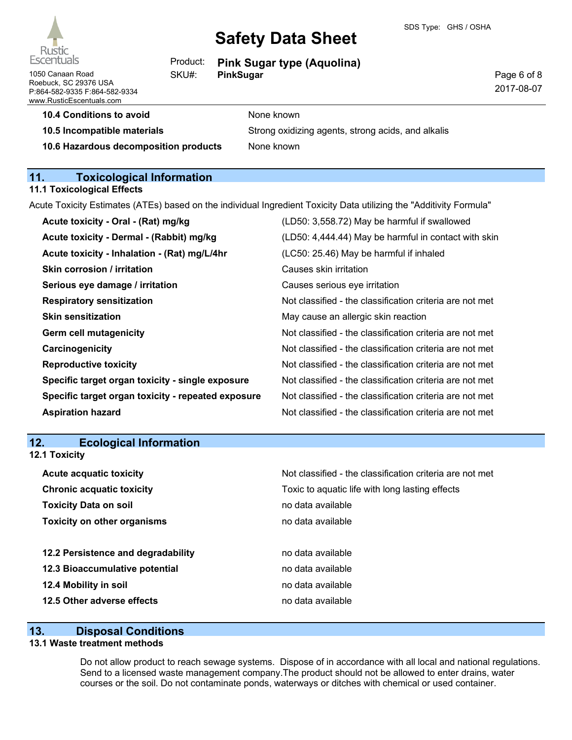

1050 Canaan Road Roebuck, SC 29376 USA P:864-582-9335 F:864-582-9334 www.RusticEscentuals.com

# **Safety Data Sheet**

| Product: | <b>Pink Sugar type (Aquolina)</b> |
|----------|-----------------------------------|
| SKU#:    | PinkSugar                         |

Page 6 of 8 2017-08-07

# **10.4 Conditions to avoid** None known **10.5 Incompatible materials** Strong oxidizing agents, strong acids, and alkalis

**10.6 Hazardous decomposition products** None known

# **11. Toxicological Information**

# **11.1 Toxicological Effects**

|  |  |  |  | Acute Toxicity Estimates (ATEs) based on the individual Ingredient Toxicity Data utilizing the "Additivity Formula" |
|--|--|--|--|---------------------------------------------------------------------------------------------------------------------|
|--|--|--|--|---------------------------------------------------------------------------------------------------------------------|

| Acute toxicity - Oral - (Rat) mg/kg                | (LD50: 3,558.72) May be harmful if swallowed             |
|----------------------------------------------------|----------------------------------------------------------|
| Acute toxicity - Dermal - (Rabbit) mg/kg           | (LD50: 4,444.44) May be harmful in contact with skin     |
| Acute toxicity - Inhalation - (Rat) mg/L/4hr       | (LC50: 25.46) May be harmful if inhaled                  |
| <b>Skin corrosion / irritation</b>                 | Causes skin irritation                                   |
| Serious eye damage / irritation                    | Causes serious eye irritation                            |
| <b>Respiratory sensitization</b>                   | Not classified - the classification criteria are not met |
| <b>Skin sensitization</b>                          | May cause an allergic skin reaction                      |
| <b>Germ cell mutagenicity</b>                      | Not classified - the classification criteria are not met |
| Carcinogenicity                                    | Not classified - the classification criteria are not met |
| <b>Reproductive toxicity</b>                       | Not classified - the classification criteria are not met |
| Specific target organ toxicity - single exposure   | Not classified - the classification criteria are not met |
| Specific target organ toxicity - repeated exposure | Not classified - the classification criteria are not met |
| <b>Aspiration hazard</b>                           | Not classified - the classification criteria are not met |
|                                                    |                                                          |

# **12. Ecological Information**

| <b>12.1 Toxicity</b>               |                                                          |
|------------------------------------|----------------------------------------------------------|
| <b>Acute acquatic toxicity</b>     | Not classified - the classification criteria are not met |
| <b>Chronic acquatic toxicity</b>   | Toxic to aquatic life with long lasting effects          |
| <b>Toxicity Data on soil</b>       | no data available                                        |
| <b>Toxicity on other organisms</b> | no data available                                        |
| 12.2 Persistence and degradability | no data available                                        |
| 12.3 Bioaccumulative potential     | no data available                                        |
| 12.4 Mobility in soil              | no data available                                        |
| 12.5 Other adverse effects         | no data available                                        |
|                                    |                                                          |

# **13. Disposal Conditions**

#### **13.1 Waste treatment methods**

Do not allow product to reach sewage systems. Dispose of in accordance with all local and national regulations. Send to a licensed waste management company.The product should not be allowed to enter drains, water courses or the soil. Do not contaminate ponds, waterways or ditches with chemical or used container.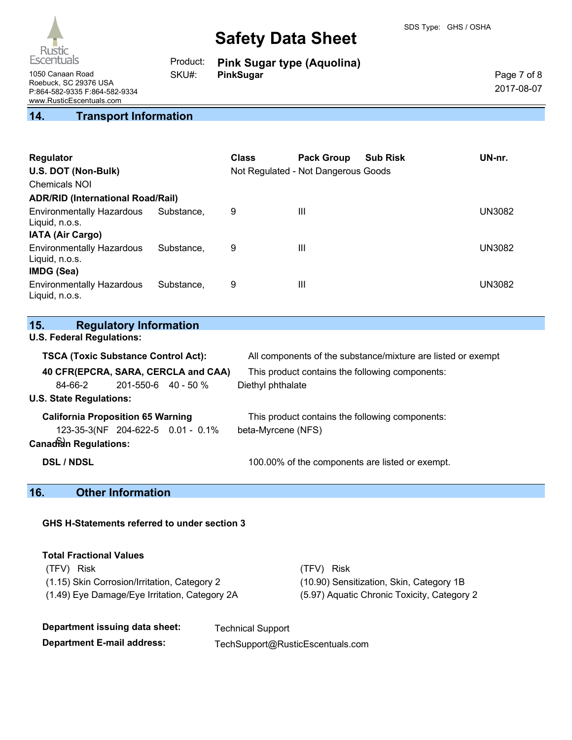

|       | Product: Pink Sugar type (Aquolina) |
|-------|-------------------------------------|
| SKU#: | PinkSugar                           |

Page 7 of 8 2017-08-07

1050 Canaan Road Roebuck, SC 29376 USA P:864-582-9335 F:864-582-9334 www.RusticEscentuals.com

# **14. Transport Information**

| <b>Regulator</b><br>U.S. DOT (Non-Bulk)<br>Chemicals NOI<br><b>ADR/RID (International Road/Rail)</b> |            | <b>Class</b> | <b>Pack Group</b><br>Not Regulated - Not Dangerous Goods | <b>Sub Risk</b> | UN-nr.        |
|------------------------------------------------------------------------------------------------------|------------|--------------|----------------------------------------------------------|-----------------|---------------|
| <b>Environmentally Hazardous</b><br>Liquid, n.o.s.<br><b>IATA (Air Cargo)</b>                        | Substance. | 9            | Ш                                                        |                 | <b>UN3082</b> |
| <b>Environmentally Hazardous</b><br>Liquid, n.o.s.<br>IMDG (Sea)                                     | Substance. | 9            | Ш                                                        |                 | <b>UN3082</b> |
| <b>Environmentally Hazardous</b><br>Liquid, n.o.s.                                                   | Substance. | 9            | Ш                                                        |                 | UN3082        |

# **15. Regulatory Information**

**U.S. Federal Regulations:**

| <b>TSCA (Toxic Substance Control Act):</b> |                           |                                   | All components of the substance/mixture are listed or exempt |  |
|--------------------------------------------|---------------------------|-----------------------------------|--------------------------------------------------------------|--|
| 40 CFR(EPCRA, SARA, CERCLA and CAA)        |                           |                                   | This product contains the following components:              |  |
| 84-66-2                                    | $201 - 550 - 6$ 40 - 50 % |                                   | Diethyl phthalate                                            |  |
| <b>U.S. State Regulations:</b>             |                           |                                   |                                                              |  |
| <b>California Proposition 65 Warning</b>   |                           |                                   | This product contains the following components:              |  |
|                                            |                           | 123-35-3(NF 204-622-5 0.01 - 0.1% | beta-Myrcene (NFS)                                           |  |
| <b>Canadian Regulations:</b>               |                           |                                   |                                                              |  |
| <b>DSL / NDSL</b>                          |                           |                                   | 100.00% of the components are listed or exempt.              |  |

# **16. Other Information**

### **GHS H-Statements referred to under section 3**

| <b>Total Fractional Values</b>                |                                             |
|-----------------------------------------------|---------------------------------------------|
| (TFV) Risk                                    | (TFV) Risk                                  |
| (1.15) Skin Corrosion/Irritation, Category 2  | (10.90) Sensitization, Skin, Category 1B    |
| (1.49) Eye Damage/Eye Irritation, Category 2A | (5.97) Aquatic Chronic Toxicity, Category 2 |

| Department issuing data sheet:    | <b>Technical Support</b>         |
|-----------------------------------|----------------------------------|
| <b>Department E-mail address:</b> | TechSupport@RusticEscentuals.com |